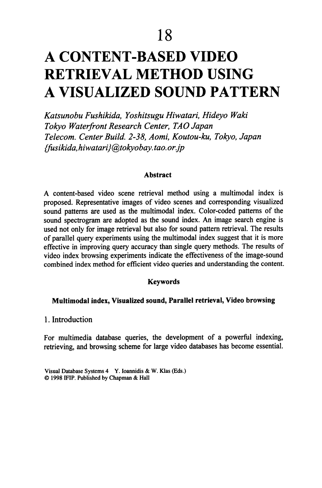# **A CONTENT-BASED VIDEO RETRIEVAL METHOD USING A VISUALIZED SOUND PATTERN**

*Katsunobu Fushildda, Yoshitsugu Hiwatari, Hideyo Wald Tokyo Waterfront Research Center, TAO Japan Telecom. Center Build.* 2-38, *Aomi, Koutou-ku, Tokyo, Japan {fusildda, hiwatari }@tokyobay.tao.orjp* 

#### **Abstract**

A content-based video scene retrieval method using a multimodal index is proposed. Representative images of video scenes and corresponding visualized sound patterns are used as the multimodal index. Color-coded patterns of the sound spectrogram are adopted as the sound index. An image search engine is used not only for image retrieval but also for sound pattern retrieval. The results of parallel query experiments using the multimodal index suggest that it is more effective in improving query accuracy than single query methods. The results of video index browsing experiments indicate the effectiveness of the image-sound combined index method for efficient video queries and understanding the content.

#### **Keywords**

#### **Multimodal index, Visualized sound, Parallel retrieval, Video browsing**

1. Introduction

For multimedia database queries, the development of a powerful indexing, retrieving, and browsing scheme for large video databases has become essential.

Visual Database Systems 4 Y. Ioannidis & w. K1as (Eds.) © 1998 IFIP. Published by Chapman & Hall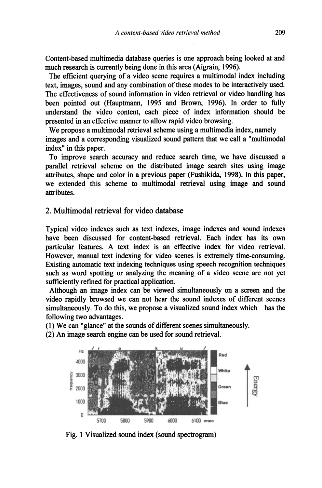Content-based multimedia database queries is one approach being looked at and much research is currently being done in this area (Aigrain, 1996).

The efficient querving of a video scene requires a multimodal index including text, images, sound and any combination of these modes to be interactively used. The effectiveness of sound information in video retrieval or video handling has been pointed out (Hauptmann, 1995 and Brown, 1996). In order to fully understand the video content, each piece of index information should be presented in an effective manner to allow rapid video browsing.

We propose a multimodal retrieval scheme using a multimedia index, namely images and a corresponding visualized sound pattern that we call a "multimodal index" in this paper.

To improve search accuracy and reduce search time, we have discussed a parallel retrieval scheme on the distributed image search sites using image attributes, shape and color in a previous paper (Fushikida, 1998). In this paper, we extended this scheme to multimodal retrieval using image and sound attributes.

### 2. Multimodal retrieval for video database

Typical video indexes such as text indexes, image indexes and sound indexes have been discussed for content-based retrieval. Each index has its own particular features. A text index is an effective index for video retrieval. However, manual text indexing for video scenes is extremely time-consuming. Existing automatic text indexing techniques using speech recognition techniques such as word spotting or analyzing the meaning of a video scene are not yet sufficiently refined for practical application.

Although an image index can be viewed simultaneously on a screen and the video rapidly browsed we can not hear the sound indexes of different scenes simultaneously. To do this, we propose a visualized sound index which has the following two advantages.

(1) We can "glance" at the sounds of different scenes simultaneously.

(2) An image search engine can be used for sound retrieval.



Fig. 1 Visualized sound index (sound spectrogram)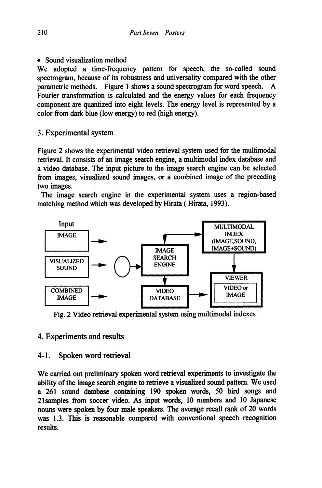• Sound visualization method

We adopted a time-frequency pattern for speech, the so-called sound spectrogram, because of its robustness and universality compared with the other parametric methods. Figure 1 shows a sound spectrogram for word speech. A Fourier transformation is calculated and the energy values for each frequency component are quantized into eight levels. The energy level is represented by a color from dark blue (low energy) to red (high energy).

## 3. Experimental system

Figure 2 shows the experimental video retrieval system used for the multimodal retrieval. It consists of an image search engine, a multimodal index database and a video database. The input picture to the image search engine can be selected from images, visualized sound images, or a combined image of the preceding two images.

The image search engine in the experimental system uses a region-based matching method which was developed by Hirata (Hirata, 1993).



Fig. 2 Video retrieval experimental system using multimodal indexes

# 4. Experiments and results

## 4-1. Spoken word retrieval

We carried out preliminary spoken word retrieval experiments to investigate the ability of the image search engine to retrieve a visualized sound pattern. We used a 261 sound database containing 190 spoken words, 50 bird songs and 21samples from soccer video. As input words, 10 numbers and 10 Japanese nouns were spoken by four male speakers. The average recall rank of 20 words was 1.3. This is reasonable compared with conventional speech recognition results.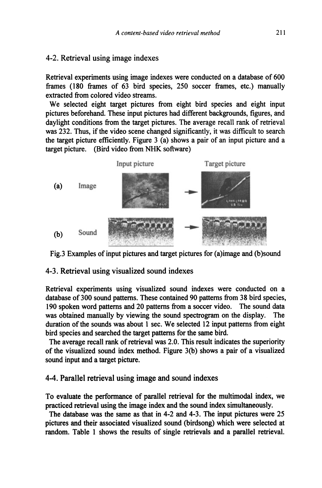### 4-2. Retrieval using image indexes

Retrieval experiments using image indexes were conducted on a database of 600 frames (180 frames of 63 bird species, 250 soccer frames, etc.) manually extracted from colored video streams.

We selected eight target pictures from eight bird species and eight input pictures beforehand. These input pictures had different backgrounds, figures, and daylight conditions from the target pictures. The average recall rank of retrieval was 232. Thus, if the video scene changed significantly, it was difficult to search the target picture efficiently. Figure 3 (a) shows a pair of an input picture and a target picture. (Bird video from NHK software)



Fig.3 Examples of input pictures and target pictures for (a)image and (b)sound

#### 4-3. Retrieval using visualized sound indexes

Retrieval experiments using visualized sound indexes were conducted on a database of 300 sound patterns. These contained 90 patterns from 38 bird species, 190 spoken word patterns and 20 patterns from a soccer video. The sound data was obtained manually by viewing the sound spectrogram on the display. The duration of the sounds was about 1 sec. We selected 12 input patterns from eight bird species and searched the target patterns for the same bird.

The average recall rank of retrieval was 2.0. This result indicates the superiority of the visualized sound index method. Figure 3(b) shows a pair of a visualized sound input and a target picture.

# 4-4. Parallel retrieval using image and sound indexes

To evaluate the performance of parallel retrieval for the multimodal index, we practiced retrieval using the image index and the sound index simultaneously.

The database was the same as that in 4-2 and 4-3. The input pictures were 25 pictures and their associated visualized sound (birdsong) which were selected at random. Table I shows the results of single retrievals and a parallel retrieval.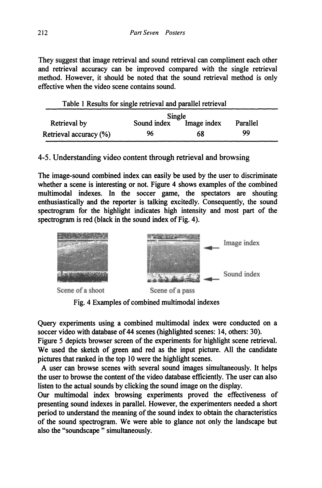They suggest that image retrieval and sound retrieval can compliment each other and retrieval accuracy can be improved compared with the single retrieval method. However, it should be noted that the sound retrieval method is only effective when the video scene contains sound.

| Table 1 Results for single retrieval and parallel retrieval |               |             |          |  |
|-------------------------------------------------------------|---------------|-------------|----------|--|
|                                                             | Single        |             |          |  |
| Retrieval by                                                | Sound index T | Image index | Parallel |  |
| Retrieval accuracy (%)                                      | 96            | 68          | 99       |  |

## 4-5. Understanding video content through retrieval and browsing

The image-sound combined index can easily be used by the user to discriminate whether a scene is interesting or not. Figure 4 shows examples of the combined multimodal indexes. In the soccer game, the spectators are shouting enthusiastically and the reporter is talking excitedly. Consequently, the sound spectrogram for the highlight indicates high intensity and most part of the spectrogram is red (black in the sound index of Fig. 4).



Fig. 4 Examples of combined multimodal indexes

Query experiments using a combined multimodal index were conducted on a soccer video with database of 44 scenes (highlighted scenes: 14, others: 30).

Figure 5 depicts browser screen of the experiments for highlight scene retrieval. We used the sketch of green and red as the input picture. All the candidate pictures that ranked in the top 10 were the highlight scenes.

A user can browse scenes with several sound images simultaneously. It helps the user to browse the content of the video database efficiently. The user can also listen to the actual sounds by clicking the sound image on the display.

Our multimodal index browsing experiments proved the effectiveness of presenting sound indexes in parallel. However, the experimenters needed a short period to understand the meaning of the sound index to obtain the characteristics of the sound spectrogram. We were able to glance not only the landscape but also the "soundscape " simultaneously.